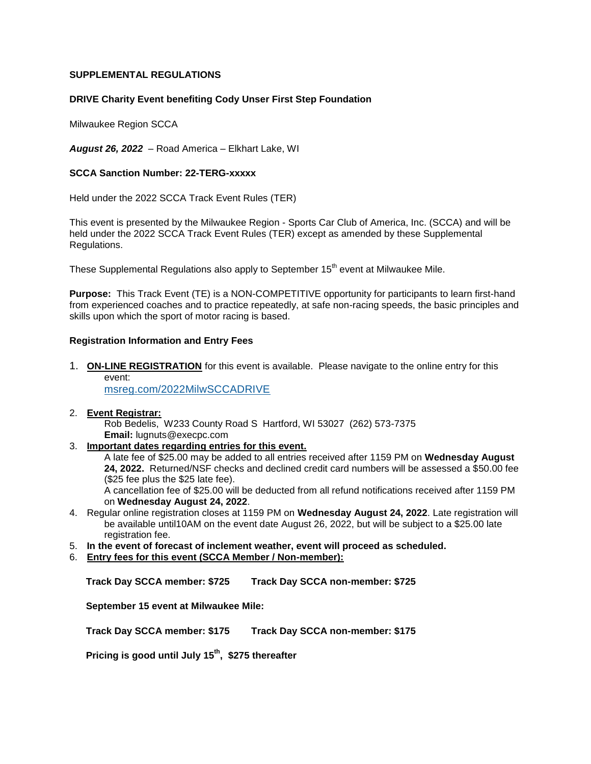## **SUPPLEMENTAL REGULATIONS**

### **DRIVE Charity Event benefiting Cody Unser First Step Foundation**

Milwaukee Region SCCA

*August 26, 2022* – Road America – Elkhart Lake, WI

### **SCCA Sanction Number: 22-TERG-xxxxx**

Held under the 2022 SCCA Track Event Rules (TER)

This event is presented by the Milwaukee Region - Sports Car Club of America, Inc. (SCCA) and will be held under the 2022 SCCA Track Event Rules (TER) except as amended by these Supplemental Regulations.

These Supplemental Regulations also apply to September 15<sup>th</sup> event at Milwaukee Mile.

**Purpose:** This Track Event (TE) is a NON-COMPETITIVE opportunity for participants to learn first-hand from experienced coaches and to practice repeatedly, at safe non-racing speeds, the basic principles and skills upon which the sport of motor racing is based.

### **Registration Information and Entry Fees**

1. **ON-LINE REGISTRATION** for this event is available. Please navigate to the online entry for this event:

[msreg.com/2022MilwSCCADRIVE](http://msreg.com/2021MilwSCCADRIVE)

### 2. **Event Registrar:**

Rob Bedelis, W233 County Road S Hartford, WI 53027 (262) 573-7375 **Email:** lugnuts@execpc.com

3. **Important dates regarding entries for this event.**

A late fee of \$25.00 may be added to all entries received after 1159 PM on **Wednesday August 24, 2022.** Returned/NSF checks and declined credit card numbers will be assessed a \$50.00 fee (\$25 fee plus the \$25 late fee).

A cancellation fee of \$25.00 will be deducted from all refund notifications received after 1159 PM on **Wednesday August 24, 2022**.

- 4. Regular online registration closes at 1159 PM on **Wednesday August 24, 2022**. Late registration will be available until10AM on the event date August 26, 2022, but will be subject to a \$25.00 late registration fee.
- 5. **In the event of forecast of inclement weather, event will proceed as scheduled.**
- 6. **Entry fees for this event (SCCA Member / Non-member):**

**Track Day SCCA member: \$725 Track Day SCCA non-member: \$725**

**September 15 event at Milwaukee Mile:**

**Track Day SCCA member: \$175 Track Day SCCA non-member: \$175**

**Pricing is good until July 15th, \$275 thereafter**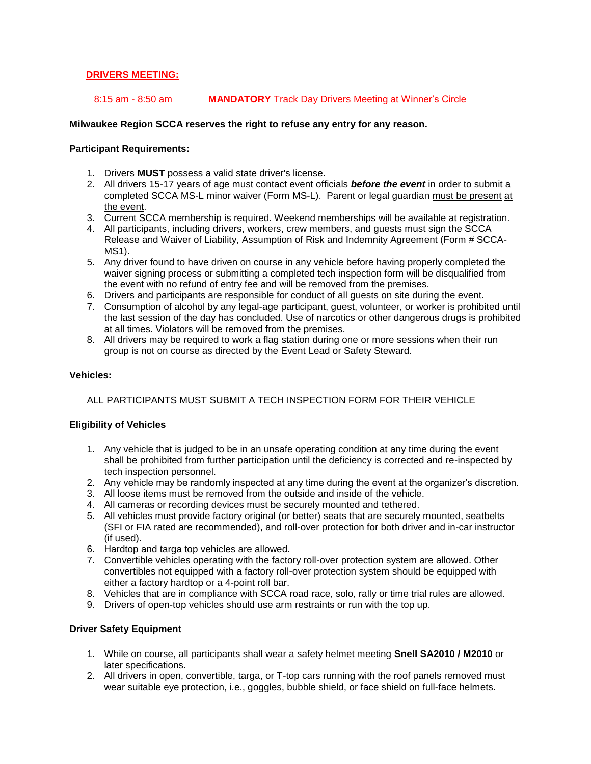## **DRIVERS MEETING:**

### 8:15 am - 8:50 am **MANDATORY** Track Day Drivers Meeting at Winner's Circle

## **Milwaukee Region SCCA reserves the right to refuse any entry for any reason.**

### **Participant Requirements:**

- 1. Drivers **MUST** possess a valid state driver's license.
- 2. All drivers 15-17 years of age must contact event officials *before the event* in order to submit a completed SCCA MS-L minor waiver (Form MS-L). Parent or legal guardian must be present at the event.
- 3. Current SCCA membership is required. Weekend memberships will be available at registration.
- 4. All participants, including drivers, workers, crew members, and guests must sign the SCCA Release and Waiver of Liability, Assumption of Risk and Indemnity Agreement (Form # SCCA-MS1).
- 5. Any driver found to have driven on course in any vehicle before having properly completed the waiver signing process or submitting a completed tech inspection form will be disqualified from the event with no refund of entry fee and will be removed from the premises.
- 6. Drivers and participants are responsible for conduct of all guests on site during the event.
- 7. Consumption of alcohol by any legal-age participant, guest, volunteer, or worker is prohibited until the last session of the day has concluded. Use of narcotics or other dangerous drugs is prohibited at all times. Violators will be removed from the premises.
- 8. All drivers may be required to work a flag station during one or more sessions when their run group is not on course as directed by the Event Lead or Safety Steward.

### **Vehicles:**

## ALL PARTICIPANTS MUST SUBMIT A TECH INSPECTION FORM FOR THEIR VEHICLE

## **Eligibility of Vehicles**

- 1. Any vehicle that is judged to be in an unsafe operating condition at any time during the event shall be prohibited from further participation until the deficiency is corrected and re-inspected by tech inspection personnel.
- 2. Any vehicle may be randomly inspected at any time during the event at the organizer's discretion.
- 3. All loose items must be removed from the outside and inside of the vehicle.
- 4. All cameras or recording devices must be securely mounted and tethered.
- 5. All vehicles must provide factory original (or better) seats that are securely mounted, seatbelts (SFI or FIA rated are recommended), and roll-over protection for both driver and in-car instructor (if used).
- 6. Hardtop and targa top vehicles are allowed.
- 7. Convertible vehicles operating with the factory roll-over protection system are allowed. Other convertibles not equipped with a factory roll-over protection system should be equipped with either a factory hardtop or a 4-point roll bar.
- 8. Vehicles that are in compliance with SCCA road race, solo, rally or time trial rules are allowed.
- 9. Drivers of open-top vehicles should use arm restraints or run with the top up.

### **Driver Safety Equipment**

- 1. While on course, all participants shall wear a safety helmet meeting **Snell SA2010 / M2010** or later specifications.
- 2. All drivers in open, convertible, targa, or T-top cars running with the roof panels removed must wear suitable eye protection, i.e., goggles, bubble shield, or face shield on full-face helmets.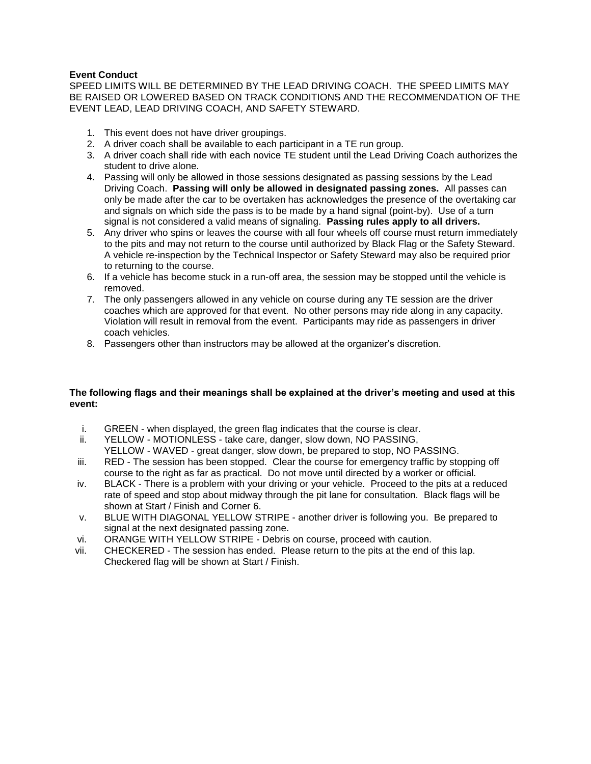## **Event Conduct**

SPEED LIMITS WILL BE DETERMINED BY THE LEAD DRIVING COACH. THE SPEED LIMITS MAY BE RAISED OR LOWERED BASED ON TRACK CONDITIONS AND THE RECOMMENDATION OF THE EVENT LEAD, LEAD DRIVING COACH, AND SAFETY STEWARD.

- 1. This event does not have driver groupings.
- 2. A driver coach shall be available to each participant in a TE run group.
- 3. A driver coach shall ride with each novice TE student until the Lead Driving Coach authorizes the student to drive alone.
- 4. Passing will only be allowed in those sessions designated as passing sessions by the Lead Driving Coach. **Passing will only be allowed in designated passing zones.** All passes can only be made after the car to be overtaken has acknowledges the presence of the overtaking car and signals on which side the pass is to be made by a hand signal (point-by). Use of a turn signal is not considered a valid means of signaling. **Passing rules apply to all drivers.**
- 5. Any driver who spins or leaves the course with all four wheels off course must return immediately to the pits and may not return to the course until authorized by Black Flag or the Safety Steward. A vehicle re-inspection by the Technical Inspector or Safety Steward may also be required prior to returning to the course.
- 6. If a vehicle has become stuck in a run-off area, the session may be stopped until the vehicle is removed.
- 7. The only passengers allowed in any vehicle on course during any TE session are the driver coaches which are approved for that event. No other persons may ride along in any capacity. Violation will result in removal from the event. Participants may ride as passengers in driver coach vehicles.
- 8. Passengers other than instructors may be allowed at the organizer's discretion.

## **The following flags and their meanings shall be explained at the driver's meeting and used at this event:**

- i. GREEN when displayed, the green flag indicates that the course is clear.
- ii. YELLOW MOTIONLESS take care, danger, slow down, NO PASSING, YELLOW - WAVED - great danger, slow down, be prepared to stop, NO PASSING.
- iii. RED The session has been stopped. Clear the course for emergency traffic by stopping off course to the right as far as practical. Do not move until directed by a worker or official.
- iv. BLACK There is a problem with your driving or your vehicle. Proceed to the pits at a reduced rate of speed and stop about midway through the pit lane for consultation. Black flags will be shown at Start / Finish and Corner 6.
- v. BLUE WITH DIAGONAL YELLOW STRIPE another driver is following you. Be prepared to signal at the next designated passing zone.
- vi. ORANGE WITH YELLOW STRIPE Debris on course, proceed with caution.
- vii. CHECKERED The session has ended. Please return to the pits at the end of this lap. Checkered flag will be shown at Start / Finish.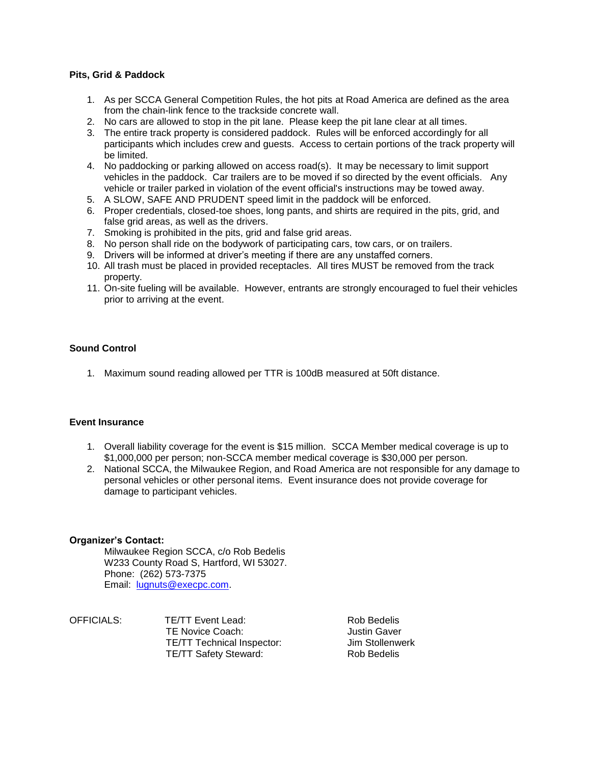## **Pits, Grid & Paddock**

- 1. As per SCCA General Competition Rules, the hot pits at Road America are defined as the area from the chain-link fence to the trackside concrete wall.
- 2. No cars are allowed to stop in the pit lane. Please keep the pit lane clear at all times.
- 3. The entire track property is considered paddock. Rules will be enforced accordingly for all participants which includes crew and guests. Access to certain portions of the track property will be limited.
- 4. No paddocking or parking allowed on access road(s). It may be necessary to limit support vehicles in the paddock. Car trailers are to be moved if so directed by the event officials. Any vehicle or trailer parked in violation of the event official's instructions may be towed away.
- 5. A SLOW, SAFE AND PRUDENT speed limit in the paddock will be enforced.
- 6. Proper credentials, closed-toe shoes, long pants, and shirts are required in the pits, grid, and false grid areas, as well as the drivers.
- 7. Smoking is prohibited in the pits, grid and false grid areas.
- 8. No person shall ride on the bodywork of participating cars, tow cars, or on trailers.
- 9. Drivers will be informed at driver's meeting if there are any unstaffed corners.
- 10. All trash must be placed in provided receptacles. All tires MUST be removed from the track property.
- 11. On-site fueling will be available. However, entrants are strongly encouraged to fuel their vehicles prior to arriving at the event.

## **Sound Control**

1. Maximum sound reading allowed per TTR is 100dB measured at 50ft distance.

## **Event Insurance**

- 1. Overall liability coverage for the event is \$15 million. SCCA Member medical coverage is up to \$1,000,000 per person; non-SCCA member medical coverage is \$30,000 per person.
- 2. National SCCA, the Milwaukee Region, and Road America are not responsible for any damage to personal vehicles or other personal items. Event insurance does not provide coverage for damage to participant vehicles.

### **Organizer's Contact:**

Milwaukee Region SCCA, c/o Rob Bedelis W233 County Road S, Hartford, WI 53027. Phone: (262) 573-7375 Email: [lugnuts@execpc.com.](mailto:lugnuts@execpc.com)

| OFFICIALS: | TE/TT Event Lead:                 | Rob Bedelis     |
|------------|-----------------------------------|-----------------|
|            | TE Novice Coach:                  | Justin Gaver    |
|            | <b>TE/TT Technical Inspector:</b> | Jim Stollenwerk |
|            | <b>TE/TT Safety Steward:</b>      | Rob Bedelis     |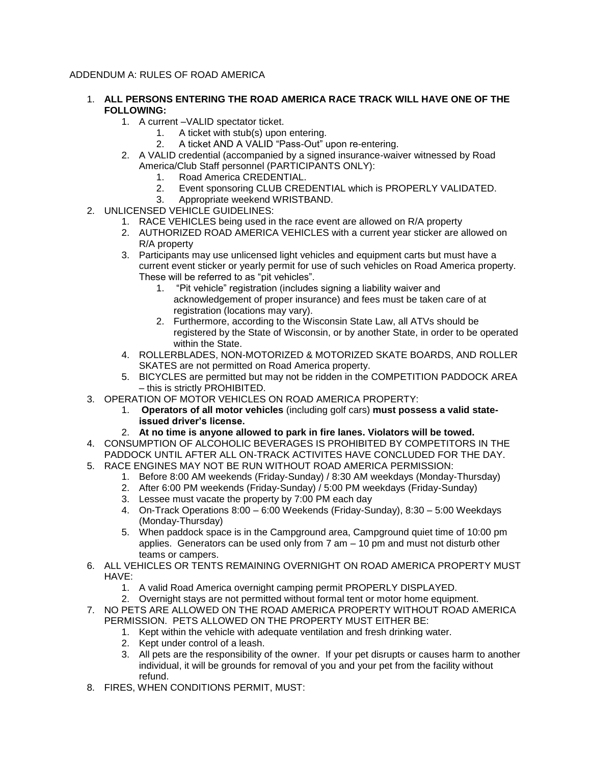# ADDENDUM A: RULES OF ROAD AMERICA

- 1. **ALL PERSONS ENTERING THE ROAD AMERICA RACE TRACK WILL HAVE ONE OF THE FOLLOWING:**
	- 1. A current –VALID spectator ticket.
		- 1. A ticket with stub(s) upon entering.
		- 2. A ticket AND A VALID "Pass-Out" upon re-entering.
	- 2. A VALID credential (accompanied by a signed insurance-waiver witnessed by Road America/Club Staff personnel (PARTICIPANTS ONLY):
		- 1. Road America CREDENTIAL.
		- 2. Event sponsoring CLUB CREDENTIAL which is PROPERLY VALIDATED.
		- 3. Appropriate weekend WRISTBAND.
- 2. UNLICENSED VEHICLE GUIDELINES:
	- 1. RACE VEHICLES being used in the race event are allowed on R/A property
	- 2. AUTHORIZED ROAD AMERICA VEHICLES with a current year sticker are allowed on R/A property
	- 3. Participants may use unlicensed light vehicles and equipment carts but must have a current event sticker or yearly permit for use of such vehicles on Road America property. These will be referred to as "pit vehicles".
		- 1. "Pit vehicle" registration (includes signing a liability waiver and acknowledgement of proper insurance) and fees must be taken care of at registration (locations may vary).
		- 2. Furthermore, according to the Wisconsin State Law, all ATVs should be registered by the State of Wisconsin, or by another State, in order to be operated within the State.
	- 4. ROLLERBLADES, NON-MOTORIZED & MOTORIZED SKATE BOARDS, AND ROLLER SKATES are not permitted on Road America property.
	- 5. BICYCLES are permitted but may not be ridden in the COMPETITION PADDOCK AREA – this is strictly PROHIBITED.
- 3. OPERATION OF MOTOR VEHICLES ON ROAD AMERICA PROPERTY:
	- 1. **Operators of all motor vehicles** (including golf cars) **must possess a valid stateissued driver's license.**
	- 2. **At no time is anyone allowed to park in fire lanes. Violators will be towed.**
- 4. CONSUMPTION OF ALCOHOLIC BEVERAGES IS PROHIBITED BY COMPETITORS IN THE PADDOCK UNTIL AFTER ALL ON-TRACK ACTIVITES HAVE CONCLUDED FOR THE DAY.
- 5. RACE ENGINES MAY NOT BE RUN WITHOUT ROAD AMERICA PERMISSION:
	- 1. Before 8:00 AM weekends (Friday-Sunday) / 8:30 AM weekdays (Monday-Thursday)
	- 2. After 6:00 PM weekends (Friday-Sunday) / 5:00 PM weekdays (Friday-Sunday)
	- 3. Lessee must vacate the property by 7:00 PM each day
	- 4. On-Track Operations 8:00 6:00 Weekends (Friday-Sunday), 8:30 5:00 Weekdays (Monday-Thursday)
	- 5. When paddock space is in the Campground area, Campground quiet time of 10:00 pm applies. Generators can be used only from  $7$  am  $-10$  pm and must not disturb other teams or campers.
- 6. ALL VEHICLES OR TENTS REMAINING OVERNIGHT ON ROAD AMERICA PROPERTY MUST HAVE:
	- 1. A valid Road America overnight camping permit PROPERLY DISPLAYED.
	- 2. Overnight stays are not permitted without formal tent or motor home equipment.
- 7. NO PETS ARE ALLOWED ON THE ROAD AMERICA PROPERTY WITHOUT ROAD AMERICA PERMISSION. PETS ALLOWED ON THE PROPERTY MUST EITHER BE:
	- 1. Kept within the vehicle with adequate ventilation and fresh drinking water.
		- 2. Kept under control of a leash.
		- 3. All pets are the responsibility of the owner. If your pet disrupts or causes harm to another individual, it will be grounds for removal of you and your pet from the facility without refund.
- 8. FIRES, WHEN CONDITIONS PERMIT, MUST: